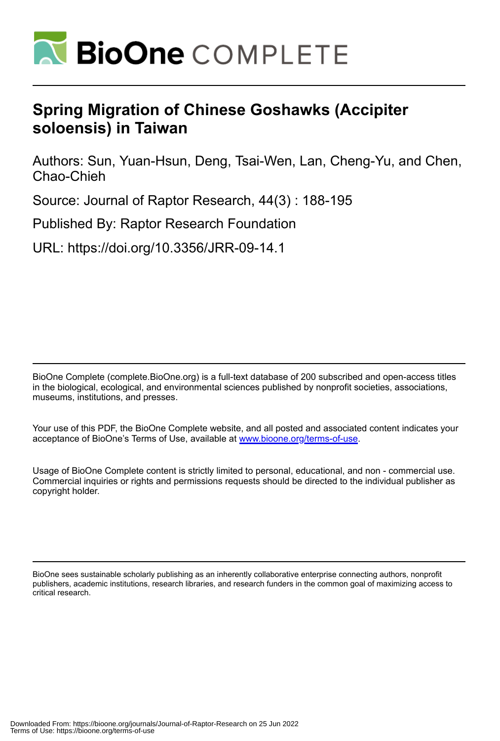

# **Spring Migration of Chinese Goshawks (Accipiter soloensis) in Taiwan**

Authors: Sun, Yuan-Hsun, Deng, Tsai-Wen, Lan, Cheng-Yu, and Chen, Chao-Chieh

Source: Journal of Raptor Research, 44(3) : 188-195

Published By: Raptor Research Foundation

URL: https://doi.org/10.3356/JRR-09-14.1

BioOne Complete (complete.BioOne.org) is a full-text database of 200 subscribed and open-access titles in the biological, ecological, and environmental sciences published by nonprofit societies, associations, museums, institutions, and presses.

Your use of this PDF, the BioOne Complete website, and all posted and associated content indicates your acceptance of BioOne's Terms of Use, available at www.bioone.org/terms-of-use.

Usage of BioOne Complete content is strictly limited to personal, educational, and non - commercial use. Commercial inquiries or rights and permissions requests should be directed to the individual publisher as copyright holder.

BioOne sees sustainable scholarly publishing as an inherently collaborative enterprise connecting authors, nonprofit publishers, academic institutions, research libraries, and research funders in the common goal of maximizing access to critical research.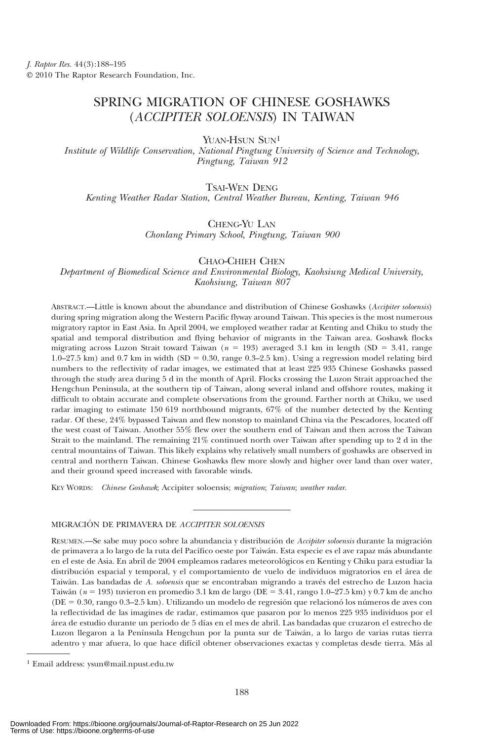# SPRING MIGRATION OF CHINESE GOSHAWKS (ACCIPITER SOLOENSIS) IN TAIWAN

YUAN-HSUN SUN<sup>1</sup>

Institute of Wildlife Conservation, National Pingtung University of Science and Technology, Pingtung, Taiwan 912

# TSAI-WEN DENG

Kenting Weather Radar Station, Central Weather Bureau, Kenting, Taiwan 946

### CHENG-YU LAN

Chonlang Primary School, Pingtung, Taiwan 900

## CHAO-CHIEH CHEN

Department of Biomedical Science and Environmental Biology, Kaohsiung Medical University, Kaohsiung, Taiwan 807

ABSTRACT.—Little is known about the abundance and distribution of Chinese Goshawks (Accipiter soloensis) during spring migration along the Western Pacific flyway around Taiwan. This species is the most numerous migratory raptor in East Asia. In April 2004, we employed weather radar at Kenting and Chiku to study the spatial and temporal distribution and flying behavior of migrants in the Taiwan area. Goshawk flocks migrating across Luzon Strait toward Taiwan ( $n = 193$ ) averaged 3.1 km in length (SD = 3.41, range  $1.0$ –27.5 km) and 0.7 km in width (SD = 0.30, range 0.3–2.5 km). Using a regression model relating bird numbers to the reflectivity of radar images, we estimated that at least 225 935 Chinese Goshawks passed through the study area during 5 d in the month of April. Flocks crossing the Luzon Strait approached the Hengchun Peninsula, at the southern tip of Taiwan, along several inland and offshore routes, making it difficult to obtain accurate and complete observations from the ground. Farther north at Chiku, we used radar imaging to estimate 150 619 northbound migrants, 67% of the number detected by the Kenting radar. Of these, 24% bypassed Taiwan and flew nonstop to mainland China via the Pescadores, located off the west coast of Taiwan. Another 55% flew over the southern end of Taiwan and then across the Taiwan Strait to the mainland. The remaining 21% continued north over Taiwan after spending up to 2 d in the central mountains of Taiwan. This likely explains why relatively small numbers of goshawks are observed in central and northern Taiwan. Chinese Goshawks flew more slowly and higher over land than over water, and their ground speed increased with favorable winds.

KEY WORDS: Chinese Goshawk; Accipiter soloensis; migration; Taiwan; weather radar.

#### MIGRACIÓN DE PRIMAVERA DE ACCIPITER SOLOENSIS

RESUMEN.—Se sabe muy poco sobre la abundancia y distribución de Accipiter soloensis durante la migración de primavera a lo largo de la ruta del Pacífico oeste por Taiwán. Esta especie es el ave rapaz más abundante en el este de Asia. En abril de 2004 empleamos radares meteorológicos en Kenting y Chiku para estudiar la distribución espacial y temporal, y el comportamiento de vuelo de individuos migratorios en el área de Taiwán. Las bandadas de A. soloensis que se encontraban migrando a través del estrecho de Luzon hacia Taiwán ( $n = 193$ ) tuvieron en promedio 3.1 km de largo (DE = 3.41, rango 1.0–27.5 km) y 0.7 km de ancho  $(DE = 0.30, \text{range } 0.3–2.5 \text{ km})$ . Utilizando un modelo de regresión que relacionó los números de aves con la reflectividad de las imagines de radar, estimamos que pasaron por lo menos 225 935 individuos por el área de estudio durante un periodo de 5 días en el mes de abril. Las bandadas que cruzaron el estrecho de Luzon llegaron a la Península Hengchun por la punta sur de Taiwán, a lo largo de varias rutas tierra adentro y mar afuera, lo que hace difícil obtener observaciones exactas y completas desde tierra. Más al

<sup>1</sup> Email address: ysun@mail.npust.edu.tw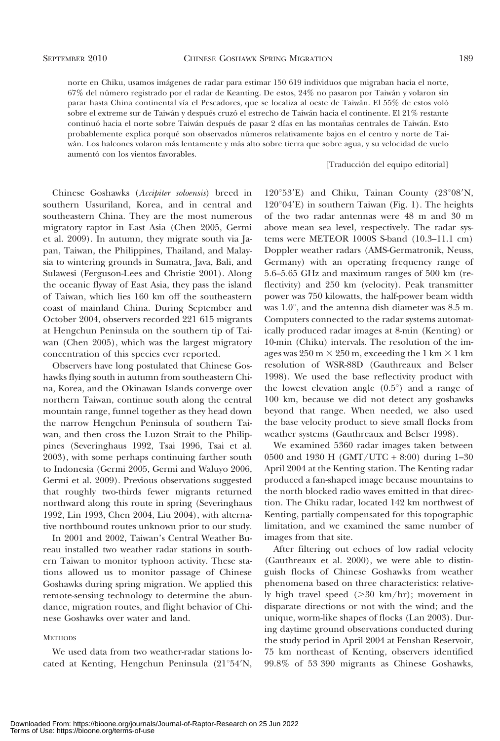norte en Chiku, usamos imágenes de radar para estimar 150 619 individuos que migraban hacia el norte, 67% del número registrado por el radar de Keanting. De estos, 24% no pasaron por Taiwán y volaron sin parar hasta China continental vía el Pescadores, que se localiza al oeste de Taiwán. El 55% de estos voló sobre el extreme sur de Taiwán y después cruzó el estrecho de Taiwán hacia el continente. El 21% restante continuó hacia el norte sobre Taiwán después de pasar 2 días en las montañas centrales de Taiwán. Esto probablemente explica porqué son observados números relativamente bajos en el centro y norte de Taiwán. Los halcones volaron más lentamente y más alto sobre tierra que sobre agua, y su velocidad de vuelo aumentó con los vientos favorables.

#### [Traducción del equipo editorial]

Chinese Goshawks (Accipiter soloensis) breed in southern Ussuriland, Korea, and in central and southeastern China. They are the most numerous migratory raptor in East Asia (Chen 2005, Germi et al. 2009). In autumn, they migrate south via Japan, Taiwan, the Philippines, Thailand, and Malaysia to wintering grounds in Sumatra, Java, Bali, and Sulawesi (Ferguson-Lees and Christie 2001). Along the oceanic flyway of East Asia, they pass the island of Taiwan, which lies 160 km off the southeastern coast of mainland China. During September and October 2004, observers recorded 221 615 migrants at Hengchun Peninsula on the southern tip of Taiwan (Chen 2005), which was the largest migratory concentration of this species ever reported.

Observers have long postulated that Chinese Goshawks flying south in autumn from southeastern China, Korea, and the Okinawan Islands converge over northern Taiwan, continue south along the central mountain range, funnel together as they head down the narrow Hengchun Peninsula of southern Taiwan, and then cross the Luzon Strait to the Philippines (Severinghaus 1992, Tsai 1996, Tsai et al. 2003), with some perhaps continuing farther south to Indonesia (Germi 2005, Germi and Waluyo 2006, Germi et al. 2009). Previous observations suggested that roughly two-thirds fewer migrants returned northward along this route in spring (Severinghaus 1992, Lin 1993, Chen 2004, Liu 2004), with alternative northbound routes unknown prior to our study.

In 2001 and 2002, Taiwan's Central Weather Bureau installed two weather radar stations in southern Taiwan to monitor typhoon activity. These stations allowed us to monitor passage of Chinese Goshawks during spring migration. We applied this remote-sensing technology to determine the abundance, migration routes, and flight behavior of Chinese Goshawks over water and land.

### **METHODS**

We used data from two weather-radar stations located at Kenting, Hengchun Peninsula  $(21°54'N,$ 

 $120^{\circ}53'E$ ) and Chiku, Tainan County (23°08'N,  $120^{\circ}04'E$ ) in southern Taiwan (Fig. 1). The heights of the two radar antennas were 48 m and 30 m above mean sea level, respectively. The radar systems were METEOR 1000S S-band (10.3–11.1 cm) Doppler weather radars (AMS-Germatronik, Neuss, Germany) with an operating frequency range of 5.6–5.65 GHz and maximum ranges of 500 km (reflectivity) and 250 km (velocity). Peak transmitter power was 750 kilowatts, the half-power beam width was  $1.0^{\circ}$ , and the antenna dish diameter was 8.5 m. Computers connected to the radar systems automatically produced radar images at 8-min (Kenting) or 10-min (Chiku) intervals. The resolution of the images was  $250 \text{ m} \times 250 \text{ m}$ , exceeding the 1 km  $\times$  1 km resolution of WSR-88D (Gauthreaux and Belser 1998). We used the base reflectivity product with the lowest elevation angle  $(0.5^{\circ})$  and a range of 100 km, because we did not detect any goshawks beyond that range. When needed, we also used the base velocity product to sieve small flocks from weather systems (Gauthreaux and Belser 1998).

We examined 5360 radar images taken between 0500 and 1930 H (GMT/UTC + 8:00) during 1–30 April 2004 at the Kenting station. The Kenting radar produced a fan-shaped image because mountains to the north blocked radio waves emitted in that direction. The Chiku radar, located 142 km northwest of Kenting, partially compensated for this topographic limitation, and we examined the same number of images from that site.

After filtering out echoes of low radial velocity (Gauthreaux et al. 2000), we were able to distinguish flocks of Chinese Goshawks from weather phenomena based on three characteristics: relatively high travel speed  $(>30 \text{ km/hr})$ ; movement in disparate directions or not with the wind; and the unique, worm-like shapes of flocks (Lan 2003). During daytime ground observations conducted during the study period in April 2004 at Fenshan Reservoir, 75 km northeast of Kenting, observers identified 99.8% of 53 390 migrants as Chinese Goshawks,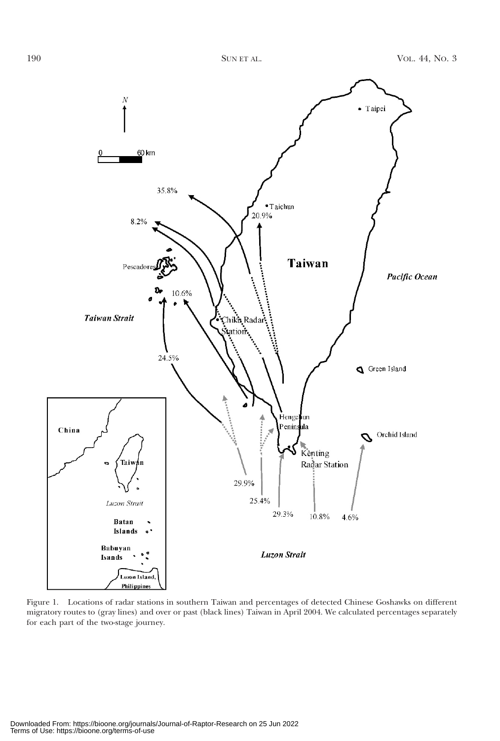

Figure 1. Locations of radar stations in southern Taiwan and percentages of detected Chinese Goshawks on different migratory routes to (gray lines) and over or past (black lines) Taiwan in April 2004. We calculated percentages separately for each part of the two-stage journey.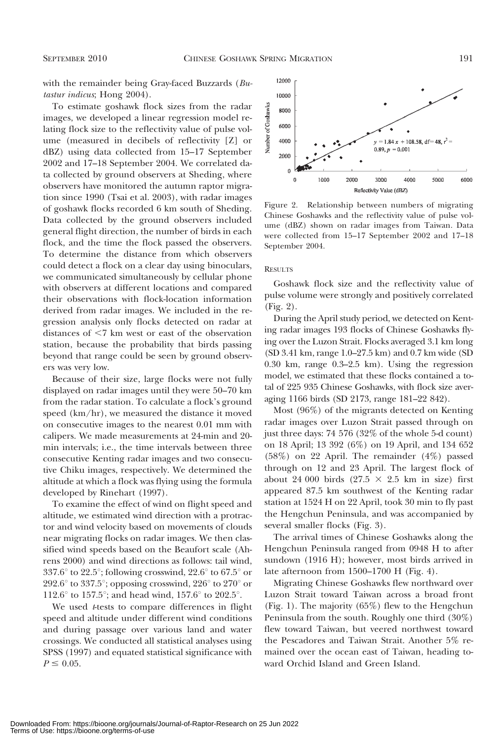with the remainder being Gray-faced Buzzards (Butastur indicus; Hong 2004).

To estimate goshawk flock sizes from the radar images, we developed a linear regression model relating flock size to the reflectivity value of pulse volume (measured in decibels of reflectivity [Z] or dBZ) using data collected from 15–17 September 2002 and 17–18 September 2004. We correlated data collected by ground observers at Sheding, where observers have monitored the autumn raptor migration since 1990 (Tsai et al. 2003), with radar images of goshawk flocks recorded 6 km south of Sheding. Data collected by the ground observers included general flight direction, the number of birds in each flock, and the time the flock passed the observers. To determine the distance from which observers could detect a flock on a clear day using binoculars, we communicated simultaneously by cellular phone with observers at different locations and compared their observations with flock-location information derived from radar images. We included in the regression analysis only flocks detected on radar at distances of  $\leq 7$  km west or east of the observation station, because the probability that birds passing beyond that range could be seen by ground observers was very low.

Because of their size, large flocks were not fully displayed on radar images until they were 50–70 km from the radar station. To calculate a flock's ground speed (km/hr), we measured the distance it moved on consecutive images to the nearest 0.01 mm with calipers. We made measurements at 24-min and 20 min intervals; i.e., the time intervals between three consecutive Kenting radar images and two consecutive Chiku images, respectively. We determined the altitude at which a flock was flying using the formula developed by Rinehart (1997).

To examine the effect of wind on flight speed and altitude, we estimated wind direction with a protractor and wind velocity based on movements of clouds near migrating flocks on radar images. We then classified wind speeds based on the Beaufort scale (Ahrens 2000) and wind directions as follows: tail wind, 337.6 $\degree$  to 22.5 $\degree$ ; following crosswind, 22.6 $\degree$  to 67.5 $\degree$  or 292.6 $\degree$  to 337.5 $\degree$ ; opposing crosswind, 226 $\degree$  to 270 $\degree$  or 112.6 $\degree$  to 157.5 $\degree$ ; and head wind, 157.6 $\degree$  to 202.5 $\degree$ .

We used *t*-tests to compare differences in flight speed and altitude under different wind conditions and during passage over various land and water crossings. We conducted all statistical analyses using SPSS (1997) and equated statistical significance with  $P \le 0.05.$ 



Figure 2. Relationship between numbers of migrating Chinese Goshawks and the reflectivity value of pulse volume (dBZ) shown on radar images from Taiwan. Data were collected from 15–17 September 2002 and 17–18 September 2004.

#### RESULTS

Goshawk flock size and the reflectivity value of pulse volume were strongly and positively correlated (Fig. 2).

During the April study period, we detected on Kenting radar images 193 flocks of Chinese Goshawks flying over the Luzon Strait. Flocks averaged 3.1 km long (SD 3.41 km, range 1.0–27.5 km) and 0.7 km wide (SD 0.30 km, range 0.3–2.5 km). Using the regression model, we estimated that these flocks contained a total of 225 935 Chinese Goshawks, with flock size averaging 1166 birds (SD 2173, range 181–22 842).

Most (96%) of the migrants detected on Kenting radar images over Luzon Strait passed through on just three days: 74 576 (32% of the whole 5-d count) on 18 April; 13 392 (6%) on 19 April, and 134 652 (58%) on 22 April. The remainder (4%) passed through on 12 and 23 April. The largest flock of about 24 000 birds (27.5  $\times$  2.5 km in size) first appeared 87.5 km southwest of the Kenting radar station at 1524 H on 22 April, took 30 min to fly past the Hengchun Peninsula, and was accompanied by several smaller flocks (Fig. 3).

The arrival times of Chinese Goshawks along the Hengchun Peninsula ranged from 0948 H to after sundown (1916 H); however, most birds arrived in late afternoon from 1500–1700 H (Fig. 4).

Migrating Chinese Goshawks flew northward over Luzon Strait toward Taiwan across a broad front (Fig. 1). The majority (65%) flew to the Hengchun Peninsula from the south. Roughly one third (30%) flew toward Taiwan, but veered northwest toward the Pescadores and Taiwan Strait. Another 5% remained over the ocean east of Taiwan, heading toward Orchid Island and Green Island.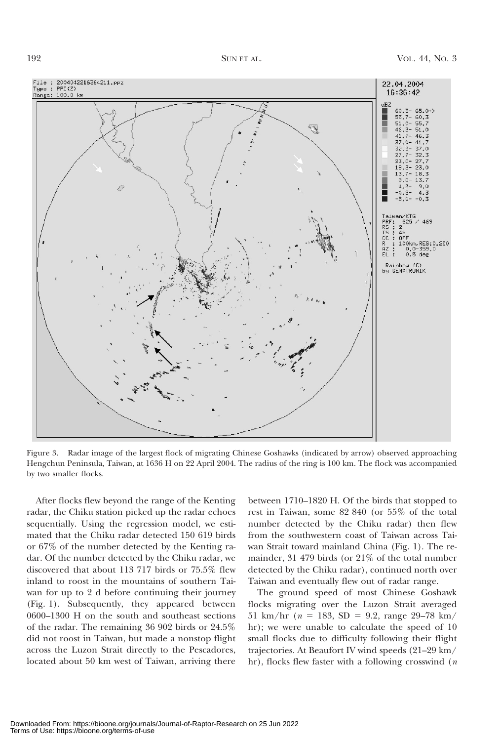

Figure 3. Radar image of the largest flock of migrating Chinese Goshawks (indicated by arrow) observed approaching Hengchun Peninsula, Taiwan, at 1636 H on 22 April 2004. The radius of the ring is 100 km. The flock was accompanied by two smaller flocks.

After flocks flew beyond the range of the Kenting radar, the Chiku station picked up the radar echoes sequentially. Using the regression model, we estimated that the Chiku radar detected 150 619 birds or 67% of the number detected by the Kenting radar. Of the number detected by the Chiku radar, we discovered that about 113 717 birds or 75.5% flew inland to roost in the mountains of southern Taiwan for up to 2 d before continuing their journey (Fig. 1). Subsequently, they appeared between 0600–1300 H on the south and southeast sections of the radar. The remaining 36 902 birds or 24.5% did not roost in Taiwan, but made a nonstop flight across the Luzon Strait directly to the Pescadores, located about 50 km west of Taiwan, arriving there

between 1710–1820 H. Of the birds that stopped to rest in Taiwan, some 82 840 (or 55% of the total number detected by the Chiku radar) then flew from the southwestern coast of Taiwan across Taiwan Strait toward mainland China (Fig. 1). The remainder, 31 479 birds (or 21% of the total number detected by the Chiku radar), continued north over Taiwan and eventually flew out of radar range.

The ground speed of most Chinese Goshawk flocks migrating over the Luzon Strait averaged 51 km/hr ( $n = 183$ , SD = 9.2, range 29–78 km/ hr); we were unable to calculate the speed of 10 small flocks due to difficulty following their flight trajectories. At Beaufort IV wind speeds (21–29 km/ hr), flocks flew faster with a following crosswind  $(n)$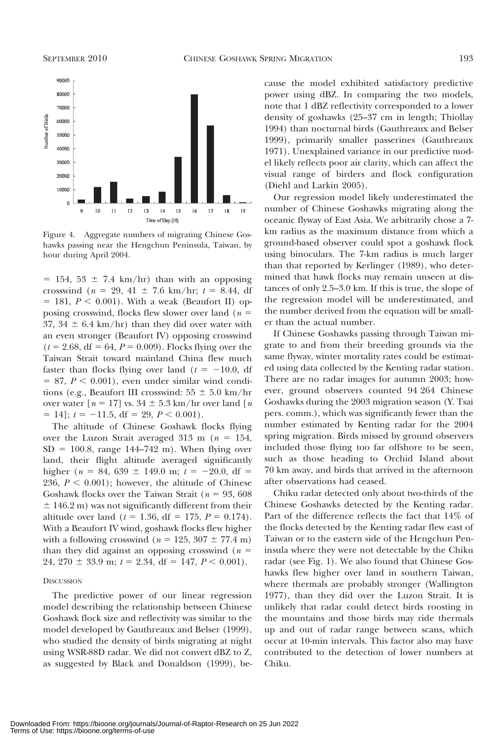

Figure 4. Aggregate numbers of migrating Chinese Goshawks passing near the Hengchun Peninsula, Taiwan, by hour during April 2004.

 $= 154, 53 \pm 7.4$  km/hr) than with an opposing crosswind ( $n = 29, 41 \pm 7.6$  km/hr;  $t = 8.44$ , df  $= 181, P < 0.001$ ). With a weak (Beaufort II) opposing crosswind, flocks flew slower over land ( $n =$ 37, 34  $\pm$  6.4 km/hr) than they did over water with an even stronger (Beaufort IV) opposing crosswind  $(t = 2.68, df = 64, P = 0.009)$ . Flocks flying over the Taiwan Strait toward mainland China flew much faster than flocks flying over land  $(t = -10.0, df)$  $= 87, P < 0.001$ , even under similar wind conditions (e.g., Beaufort III crosswind:  $55 \pm 5.0 \text{ km/hr}$ over water  $[n = 17]$  vs.  $34 \pm 5.3$  km/hr over land  $[n]$  $= 14$ ;  $t = -11.5$ , df = 29,  $P < 0.001$ ).

The altitude of Chinese Goshawk flocks flying over the Luzon Strait averaged 313 m ( $n = 154$ ,  $SD = 100.8$ , range 144–742 m). When flying over land, their flight altitude averaged significantly higher ( $n = 84, 639 \pm 149.0$  m;  $t = -20.0$ , df = 236,  $P < 0.001$ ); however, the altitude of Chinese Goshawk flocks over the Taiwan Strait ( $n = 93,608$ )  $\pm$  146.2 m) was not significantly different from their altitude over land ( $t = 1.36$ , df = 175,  $P = 0.174$ ). With a Beaufort IV wind, goshawk flocks flew higher with a following crosswind ( $n = 125, 307 \pm 77.4$  m) than they did against an opposing crosswind ( $n =$ 24, 270  $\pm$  33.9 m;  $t = 2.34$ , df = 147,  $P \le 0.001$ ).

#### **DISCUSSION**

The predictive power of our linear regression model describing the relationship between Chinese Goshawk flock size and reflectivity was similar to the model developed by Gauthreaux and Belser (1999), who studied the density of birds migrating at night using WSR-88D radar. We did not convert dBZ to Z, as suggested by Black and Donaldson (1999), because the model exhibited satisfactory predictive power using dBZ. In comparing the two models, note that 1 dBZ reflectivity corresponded to a lower density of goshawks (25–37 cm in length; Thiollay 1994) than nocturnal birds (Gauthreaux and Belser 1999), primarily smaller passerines (Gauthreaux 1971). Unexplained variance in our predictive model likely reflects poor air clarity, which can affect the visual range of birders and flock configuration (Diehl and Larkin 2005).

Our regression model likely underestimated the number of Chinese Goshawks migrating along the oceanic flyway of East Asia. We arbitrarily chose a 7 km radius as the maximum distance from which a ground-based observer could spot a goshawk flock using binoculars. The 7-km radius is much larger than that reported by Kerlinger (1989), who determined that hawk flocks may remain unseen at distances of only 2.5–3.0 km. If this is true, the slope of the regression model will be underestimated, and the number derived from the equation will be smaller than the actual number.

If Chinese Goshawks passing through Taiwan migrate to and from their breeding grounds via the same flyway, winter mortality rates could be estimated using data collected by the Kenting radar station. There are no radar images for autumn 2003; however, ground observers counted 94 264 Chinese Goshawks during the 2003 migration season (Y. Tsai pers. comm.), which was significantly fewer than the number estimated by Kenting radar for the 2004 spring migration. Birds missed by ground observers included those flying too far offshore to be seen, such as those heading to Orchid Island about 70 km away, and birds that arrived in the afternoon after observations had ceased.

Chiku radar detected only about two-thirds of the Chinese Goshawks detected by the Kenting radar. Part of the difference reflects the fact that 14% of the flocks detected by the Kenting radar flew east of Taiwan or to the eastern side of the Hengchun Peninsula where they were not detectable by the Chiku radar (see Fig. 1). We also found that Chinese Goshawks flew higher over land in southern Taiwan, where thermals are probably stronger (Wallington 1977), than they did over the Luzon Strait. It is unlikely that radar could detect birds roosting in the mountains and those birds may ride thermals up and out of radar range between scans, which occur at 10-min intervals. This factor also may have contributed to the detection of lower numbers at Chiku.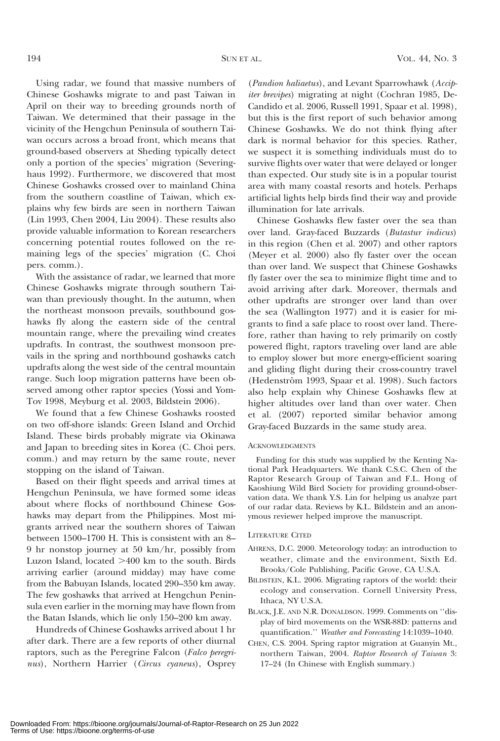Using radar, we found that massive numbers of Chinese Goshawks migrate to and past Taiwan in April on their way to breeding grounds north of Taiwan. We determined that their passage in the vicinity of the Hengchun Peninsula of southern Taiwan occurs across a broad front, which means that ground-based observers at Sheding typically detect only a portion of the species' migration (Severinghaus 1992). Furthermore, we discovered that most Chinese Goshawks crossed over to mainland China from the southern coastline of Taiwan, which explains why few birds are seen in northern Taiwan (Lin 1993, Chen 2004, Liu 2004). These results also provide valuable information to Korean researchers concerning potential routes followed on the remaining legs of the species' migration (C. Choi pers. comm.).

With the assistance of radar, we learned that more Chinese Goshawks migrate through southern Taiwan than previously thought. In the autumn, when the northeast monsoon prevails, southbound goshawks fly along the eastern side of the central mountain range, where the prevailing wind creates updrafts. In contrast, the southwest monsoon prevails in the spring and northbound goshawks catch updrafts along the west side of the central mountain range. Such loop migration patterns have been observed among other raptor species (Yossi and Yom-Tov 1998, Meyburg et al. 2003, Bildstein 2006).

We found that a few Chinese Goshawks roosted on two off-shore islands: Green Island and Orchid Island. These birds probably migrate via Okinawa and Japan to breeding sites in Korea (C. Choi pers. comm.) and may return by the same route, never stopping on the island of Taiwan.

Based on their flight speeds and arrival times at Hengchun Peninsula, we have formed some ideas about where flocks of northbound Chinese Goshawks may depart from the Philippines. Most migrants arrived near the southern shores of Taiwan between 1500–1700 H. This is consistent with an 8– 9 hr nonstop journey at 50 km/hr, possibly from Luzon Island, located  $>400$  km to the south. Birds arriving earlier (around midday) may have come from the Babuyan Islands, located 290–350 km away. The few goshawks that arrived at Hengchun Peninsula even earlier in the morning may have flown from the Batan Islands, which lie only 150–200 km away.

Hundreds of Chinese Goshawks arrived about 1 hr after dark. There are a few reports of other diurnal raptors, such as the Peregrine Falcon (Falco peregrinus), Northern Harrier (Circus cyaneus), Osprey

(Pandion haliaetus), and Levant Sparrowhawk (Accipiter brevipes) migrating at night (Cochran 1985, De-Candido et al. 2006, Russell 1991, Spaar et al. 1998), but this is the first report of such behavior among Chinese Goshawks. We do not think flying after dark is normal behavior for this species. Rather, we suspect it is something individuals must do to survive flights over water that were delayed or longer than expected. Our study site is in a popular tourist area with many coastal resorts and hotels. Perhaps artificial lights help birds find their way and provide illumination for late arrivals.

Chinese Goshawks flew faster over the sea than over land. Gray-faced Buzzards (Butastur indicus) in this region (Chen et al. 2007) and other raptors (Meyer et al. 2000) also fly faster over the ocean than over land. We suspect that Chinese Goshawks fly faster over the sea to minimize flight time and to avoid arriving after dark. Moreover, thermals and other updrafts are stronger over land than over the sea (Wallington 1977) and it is easier for migrants to find a safe place to roost over land. Therefore, rather than having to rely primarily on costly powered flight, raptors traveling over land are able to employ slower but more energy-efficient soaring and gliding flight during their cross-country travel (Hedenström 1993, Spaar et al. 1998). Such factors also help explain why Chinese Goshawks flew at higher altitudes over land than over water. Chen et al. (2007) reported similar behavior among Gray-faced Buzzards in the same study area.

#### ACKNOWLEDGMENTS

Funding for this study was supplied by the Kenting National Park Headquarters. We thank C.S.C. Chen of the Raptor Research Group of Taiwan and F.L. Hong of Kaoshiung Wild Bird Society for providing ground-observation data. We thank Y.S. Lin for helping us analyze part of our radar data. Reviews by K.L. Bildstein and an anonymous reviewer helped improve the manuscript.

#### LITERATURE CITED

- AHRENS, D.C. 2000. Meteorology today: an introduction to weather, climate and the environment, Sixth Ed. Brooks/Cole Publishing, Pacific Grove, CA U.S.A.
- BILDSTEIN, K.L. 2006. Migrating raptors of the world: their ecology and conservation. Cornell University Press, Ithaca, NY U.S.A.
- BLACK, J.E. AND N.R. DONALDSON. 1999. Comments on ''display of bird movements on the WSR-88D: patterns and quantification.'' Weather and Forecasting 14:1039–1040.
- CHEN, C.S. 2004. Spring raptor migration at Guanyin Mt., northern Taiwan, 2004. Raptor Research of Taiwan 3: 17–24 (In Chinese with English summary.)